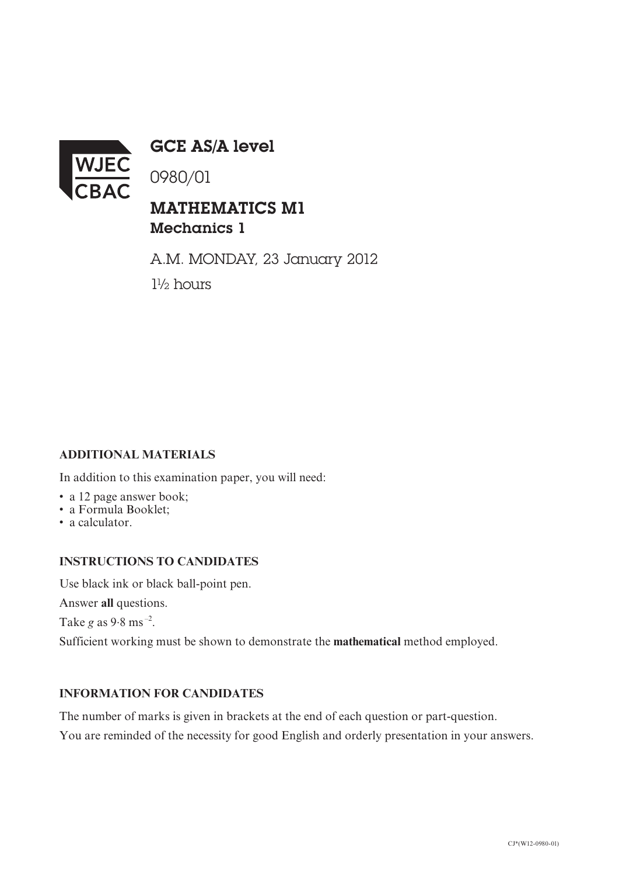

GCE AS/A level

0980/01

## MATHEMATICS M1 Mechanics 1

A.M. MONDAY, 23 January 2012 1½ hours

## **ADDITIONAL MATERIALS**

In addition to this examination paper, you will need:

- a 12 page answer book;
- a Formula Booklet;
- a calculator.

## **INSTRUCTIONS TO CANDIDATES**

Use black ink or black ball-point pen.

Answer **all** questions.

Take *g* as 9.8 ms –2.

Sufficient working must be shown to demonstrate the **mathematical** method employed.

## **INFORMATION FOR CANDIDATES**

The number of marks is given in brackets at the end of each question or part-question.

You are reminded of the necessity for good English and orderly presentation in your answers.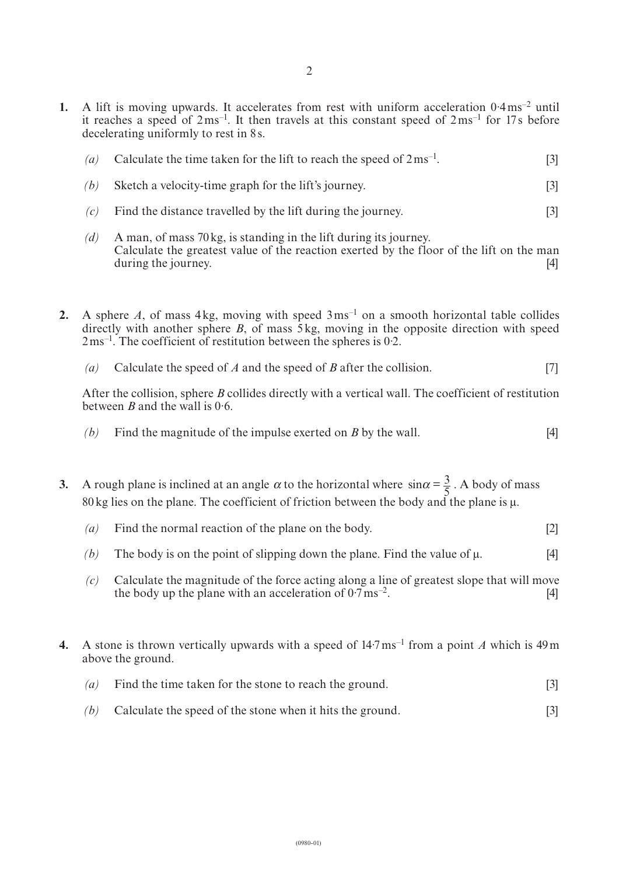**1.** A lift is moving upwards. It accelerates from rest with uniform acceleration 0·4ms<sup>-2</sup> until it reaches a speed of  $2 \text{ ms}^{-1}$ . It then travels at this constant speed of  $2 \text{ ms}^{-1}$  for 17s before decelerating uniformly to rest in 8s.

| (a) | Calculate the time taken for the lift to reach the speed of $2 \text{ ms}^{-1}$ . |  |
|-----|-----------------------------------------------------------------------------------|--|
|     |                                                                                   |  |

- *(b)* Sketch a velocity-time graph for the lift's journey. [3]
- *(c)* Find the distance travelled by the lift during the journey. [3]
- *(d)* A man, of mass 70kg, is standing in the lift during its journey. Calculate the greatest value of the reaction exerted by the floor of the lift on the man during the journey. [4]
- **2.** A sphere *A*, of mass 4kg, moving with speed  $3 \text{ ms}^{-1}$  on a smooth horizontal table collides directly with another sphere *B*, of mass 5kg, moving in the opposite direction with speed  $2 \text{ ms}^{-1}$ . The coefficient of restitution between the spheres is 0.2.
	- *(a)* Calculate the speed of *A* and the speed of *B* after the collision. [7]

After the collision, sphere *B* collides directly with a vertical wall. The coefficient of restitution between *B* and the wall is 0·6.

- *(b)* Find the magnitude of the impulse exerted on *B* by the wall. [4]
- **3.** A rough plane is inclined at an angle  $\alpha$  to the horizontal where  $\sin \alpha = \frac{3}{5}$ . A body of mass 80kg lies on the plane. The coefficient of friction between the body and the plane is  $\mu$ .
	- *(a)* Find the normal reaction of the plane on the body. [2]
	- *(b)* The body is on the point of slipping down the plane. Find the value of μ. [4]
	- *(c)* Calculate the magnitude of the force acting along a line of greatest slope that will move the body up the plane with an acceleration of  $0.7 \text{ ms}^{-2}$ . [4]
- **4.** A stone is thrown vertically upwards with a speed of  $14.7 \text{ ms}^{-1}$  from a point A which is 49 m above the ground.
	- *(a)* Find the time taken for the stone to reach the ground. [3]
	- *(b)* Calculate the speed of the stone when it hits the ground. [3]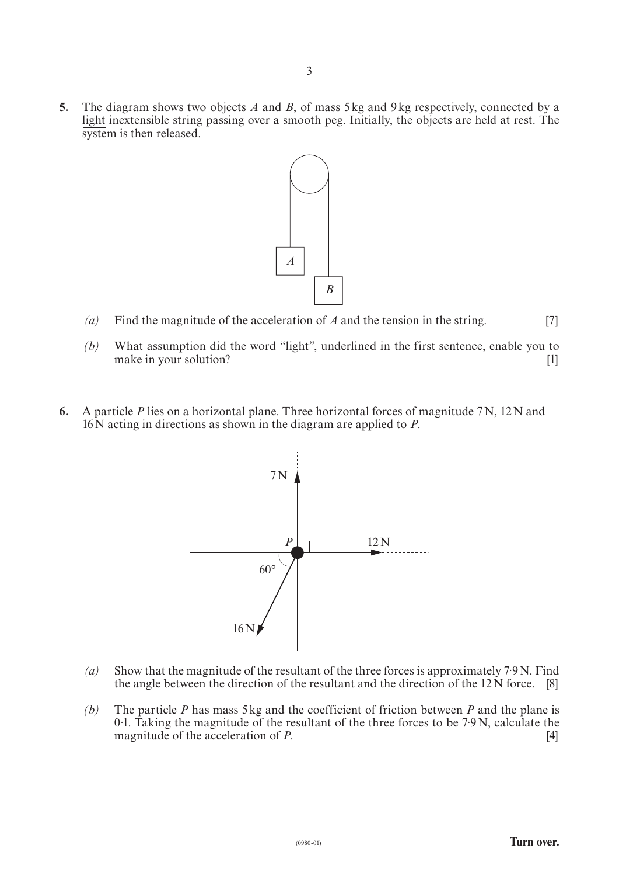**5.** The diagram shows two objects *A* and *B*, of mass 5kg and 9kg respectively, connected by a light inextensible string passing over a smooth peg. Initially, the objects are held at rest. The system is then released.



- *(a)* Find the magnitude of the acceleration of *A* and the tension in the string. [7]
- *(b)* What assumption did the word "light", underlined in the first sentence, enable you to make in your solution? [1]
- **6.** A particle *P* lies on a horizontal plane. Three horizontal forces of magnitude 7N, 12N and 16N acting in directions as shown in the diagram are applied to *P*.



- *(a)* Show that the magnitude of the resultant of the three forces is approximately 7·9N. Find the angle between the direction of the resultant and the direction of the 12N force. [8]
- *(b)* The particle *P* has mass 5kg and the coefficient of friction between *P* and the plane is 0.1. Taking the magnitude of the resultant of the three forces to be 7.9 N, calculate the magnitude of the acceleration of  $P$ . magnitude of the acceleration of *P*.